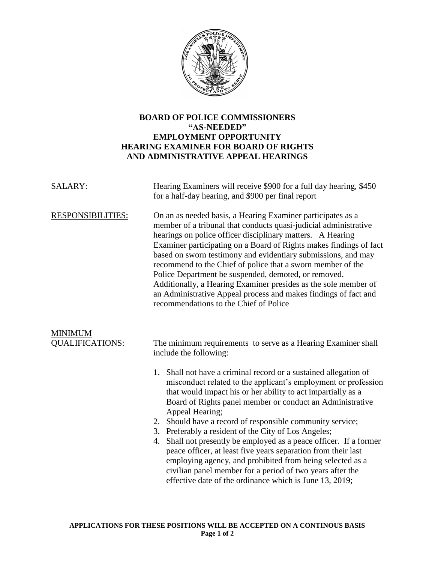

## **BOARD OF POLICE COMMISSIONERS "AS-NEEDED" EMPLOYMENT OPPORTUNITY HEARING EXAMINER FOR BOARD OF RIGHTS AND ADMINISTRATIVE APPEAL HEARINGS**

| SALARY:                                  | Hearing Examiners will receive \$900 for a full day hearing, \$450<br>for a half-day hearing, and \$900 per final report                                                                                                                                                                                                                                                                                                                                                                                                                                                                                                                    |
|------------------------------------------|---------------------------------------------------------------------------------------------------------------------------------------------------------------------------------------------------------------------------------------------------------------------------------------------------------------------------------------------------------------------------------------------------------------------------------------------------------------------------------------------------------------------------------------------------------------------------------------------------------------------------------------------|
| <b>RESPONSIBILITIES:</b>                 | On an as needed basis, a Hearing Examiner participates as a<br>member of a tribunal that conducts quasi-judicial administrative<br>hearings on police officer disciplinary matters. A Hearing<br>Examiner participating on a Board of Rights makes findings of fact<br>based on sworn testimony and evidentiary submissions, and may<br>recommend to the Chief of police that a sworn member of the<br>Police Department be suspended, demoted, or removed.<br>Additionally, a Hearing Examiner presides as the sole member of<br>an Administrative Appeal process and makes findings of fact and<br>recommendations to the Chief of Police |
| <b>MINIMUM</b><br><b>QUALIFICATIONS:</b> | The minimum requirements to serve as a Hearing Examiner shall<br>include the following:                                                                                                                                                                                                                                                                                                                                                                                                                                                                                                                                                     |
|                                          | 1. Shall not have a criminal record or a sustained allegation of<br>misconduct related to the applicant's employment or profession<br>that would impact his or her ability to act impartially as a<br>Board of Rights panel member or conduct an Administrative<br>Appeal Hearing;<br>2. Should have a record of responsible community service;<br>3. Preferably a resident of the City of Los Angeles;<br>Shall not presently be employed as a peace officer. If a former<br>4.<br>peace officer, at least five years separation from their last<br>employing agency, and prohibited from being selected as a                              |
|                                          | civilian panel member for a period of two years after the<br>effective date of the ordinance which is June 13, 2019;                                                                                                                                                                                                                                                                                                                                                                                                                                                                                                                        |